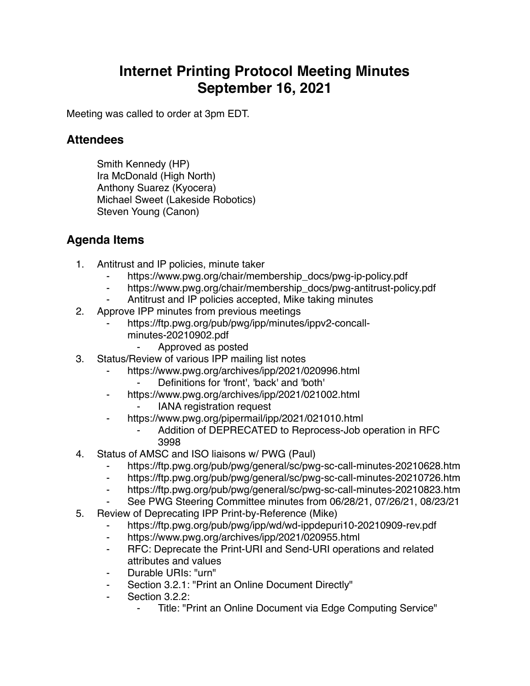## **Internet Printing Protocol Meeting Minutes September 16, 2021**

Meeting was called to order at 3pm EDT.

## **Attendees**

Smith Kennedy (HP) Ira McDonald (High North) Anthony Suarez (Kyocera) Michael Sweet (Lakeside Robotics) Steven Young (Canon)

## **Agenda Items**

- 1. Antitrust and IP policies, minute taker
	- https://www.pwg.org/chair/membership\_docs/pwg-ip-policy.pdf
	- ⁃ https://www.pwg.org/chair/membership\_docs/pwg-antitrust-policy.pdf
	- Antitrust and IP policies accepted, Mike taking minutes
- 2. Approve IPP minutes from previous meetings
	- https://ftp.pwg.org/pub/pwg/ipp/minutes/ippv2-concallminutes-20210902.pdf
		- ⁃ Approved as posted
- 3. Status/Review of various IPP mailing list notes
	- https://www.pwg.org/archives/ipp/2021/020996.html
		- Definitions for 'front', 'back' and 'both'
	- ⁃ https://www.pwg.org/archives/ipp/2021/021002.html
		- **IANA** registration request
	- ⁃ https://www.pwg.org/pipermail/ipp/2021/021010.html
		- Addition of DEPRECATED to Reprocess-Job operation in RFC 3998
- 4. Status of AMSC and ISO liaisons w/ PWG (Paul)
	- ⁃ https://ftp.pwg.org/pub/pwg/general/sc/pwg-sc-call-minutes-20210628.htm
	- ⁃ https://ftp.pwg.org/pub/pwg/general/sc/pwg-sc-call-minutes-20210726.htm
	- ⁃ https://ftp.pwg.org/pub/pwg/general/sc/pwg-sc-call-minutes-20210823.htm
	- See PWG Steering Committee minutes from 06/28/21, 07/26/21, 08/23/21
- 5. Review of Deprecating IPP Print-by-Reference (Mike)
	- https://ftp.pwg.org/pub/pwg/ipp/wd/wd-ippdepuri10-20210909-rev.pdf
	- ⁃ https://www.pwg.org/archives/ipp/2021/020955.html
	- ⁃ RFC: Deprecate the Print-URI and Send-URI operations and related attributes and values
	- ⁃ Durable URIs: "urn"
	- Section 3.2.1: "Print an Online Document Directly"
	- Section 3.2.2:
		- ⁃ Title: "Print an Online Document via Edge Computing Service"